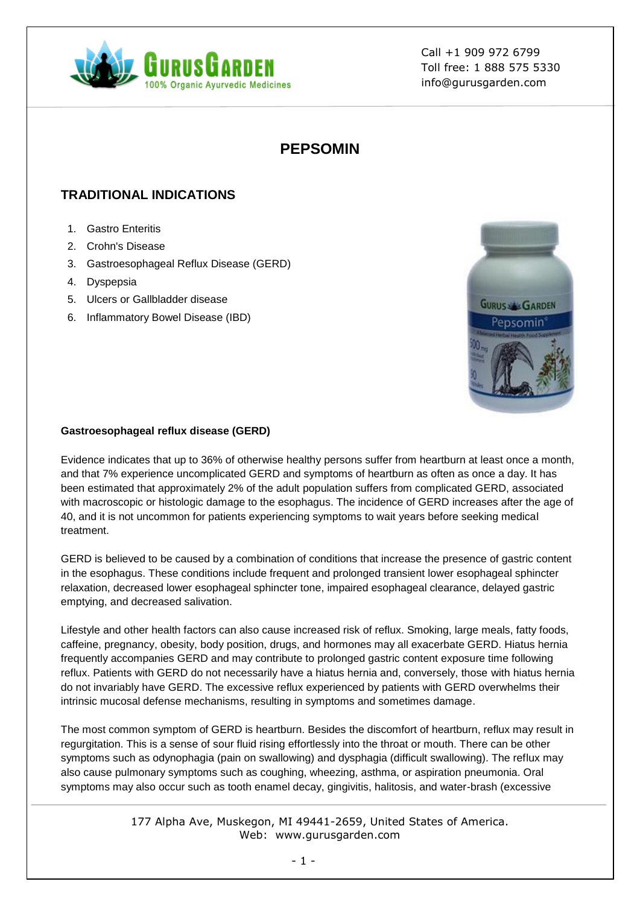

# **PEPSOMIN**

# **TRADITIONAL INDICATIONS**

- 1. Gastro Enteritis
- 2. Crohn's Disease
- 3. Gastroesophageal Reflux Disease (GERD)
- 4. Dyspepsia
- 5. Ulcers or Gallbladder disease
- 6. Inflammatory Bowel Disease (IBD)



### **Gastroesophageal reflux disease (GERD)**

Evidence indicates that up to 36% of otherwise healthy persons suffer from heartburn at least once a month, and that 7% experience uncomplicated GERD and symptoms of heartburn as often as once a day. It has been estimated that approximately 2% of the adult population suffers from complicated GERD, associated with macroscopic or histologic damage to the esophagus. The incidence of GERD increases after the age of 40, and it is not uncommon for patients experiencing symptoms to wait years before seeking medical treatment.

GERD is believed to be caused by a combination of conditions that increase the presence of gastric content in the esophagus. These conditions include frequent and prolonged transient lower esophageal sphincter relaxation, decreased lower esophageal sphincter tone, impaired esophageal clearance, delayed gastric emptying, and decreased salivation.

Lifestyle and other health factors can also cause increased risk of reflux. Smoking, large meals, fatty foods, caffeine, pregnancy, obesity, body position, drugs, and hormones may all exacerbate GERD. Hiatus hernia frequently accompanies GERD and may contribute to prolonged gastric content exposure time following reflux. Patients with GERD do not necessarily have a hiatus hernia and, conversely, those with hiatus hernia do not invariably have GERD. The excessive reflux experienced by patients with GERD overwhelms their intrinsic mucosal defense mechanisms, resulting in symptoms and sometimes damage.

The most common symptom of GERD is heartburn. Besides the discomfort of heartburn, reflux may result in regurgitation. This is a sense of sour fluid rising effortlessly into the throat or mouth. There can be other symptoms such as odynophagia (pain on swallowing) and dysphagia (difficult swallowing). The reflux may also cause pulmonary symptoms such as coughing, wheezing, asthma, or aspiration pneumonia. Oral symptoms may also occur such as tooth enamel decay, gingivitis, halitosis, and water-brash (excessive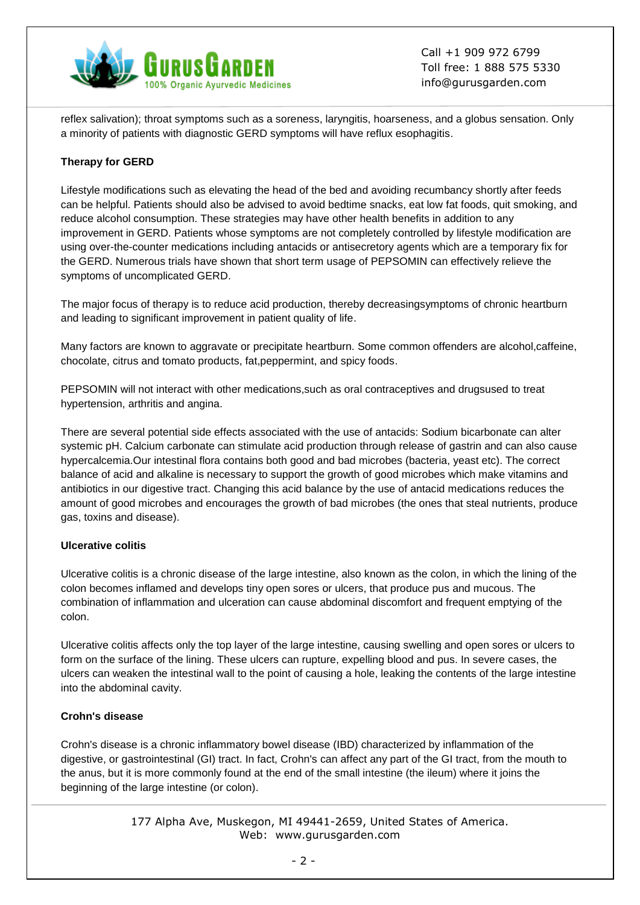

reflex salivation); throat symptoms such as a soreness, laryngitis, hoarseness, and a globus sensation. Only a minority of patients with diagnostic GERD symptoms will have reflux esophagitis.

## **Therapy for GERD**

Lifestyle modifications such as elevating the head of the bed and avoiding recumbancy shortly after feeds can be helpful. Patients should also be advised to avoid bedtime snacks, eat low fat foods, quit smoking, and reduce alcohol consumption. These strategies may have other health benefits in addition to any improvement in GERD. Patients whose symptoms are not completely controlled by lifestyle modification are using over-the-counter medications including antacids or antisecretory agents which are a temporary fix for the GERD. Numerous trials have shown that short term usage of PEPSOMIN can effectively relieve the symptoms of uncomplicated GERD.

The major focus of therapy is to reduce acid production, thereby decreasingsymptoms of chronic heartburn and leading to significant improvement in patient quality of life.

Many factors are known to aggravate or precipitate heartburn. Some common offenders are alcohol,caffeine, chocolate, citrus and tomato products, fat,peppermint, and spicy foods.

PEPSOMIN will not interact with other medications,such as oral contraceptives and drugsused to treat hypertension, arthritis and angina.

There are several potential side effects associated with the use of antacids: Sodium bicarbonate can alter systemic pH. Calcium carbonate can stimulate acid production through release of gastrin and can also cause hypercalcemia.Our intestinal flora contains both good and bad microbes (bacteria, yeast etc). The correct balance of acid and alkaline is necessary to support the growth of good microbes which make vitamins and antibiotics in our digestive tract. Changing this acid balance by the use of antacid medications reduces the amount of good microbes and encourages the growth of bad microbes (the ones that steal nutrients, produce gas, toxins and disease).

### **Ulcerative colitis**

Ulcerative colitis is a chronic disease of the large intestine, also known as the colon, in which the lining of the colon becomes inflamed and develops tiny open sores or ulcers, that produce pus and mucous. The combination of inflammation and ulceration can cause abdominal discomfort and frequent emptying of the colon.

Ulcerative colitis affects only the top layer of the large intestine, causing swelling and open sores or ulcers to form on the surface of the lining. These ulcers can rupture, expelling blood and pus. In severe cases, the ulcers can weaken the intestinal wall to the point of causing a hole, leaking the contents of the large intestine into the abdominal cavity.

#### **Crohn's disease**

Crohn's disease is a chronic inflammatory bowel disease (IBD) characterized by inflammation of the digestive, or gastrointestinal (GI) tract. In fact, Crohn's can affect any part of the GI tract, from the mouth to the anus, but it is more commonly found at the end of the small intestine (the ileum) where it joins the beginning of the large intestine (or colon).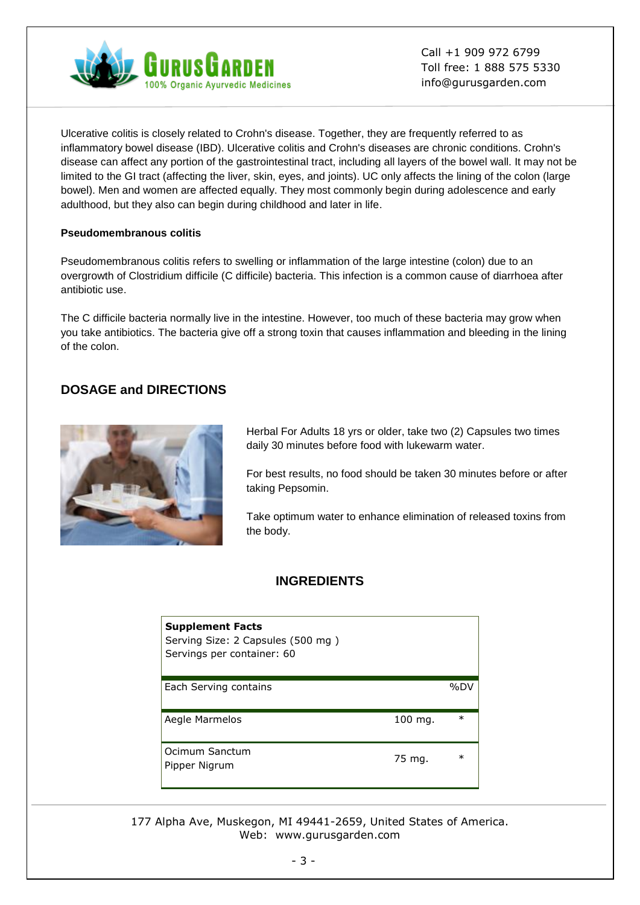

Ulcerative colitis is closely related to Crohn's disease. Together, they are frequently referred to as inflammatory bowel disease (IBD). Ulcerative colitis and Crohn's diseases are chronic conditions. Crohn's disease can affect any portion of the gastrointestinal tract, including all layers of the bowel wall. It may not be limited to the GI tract (affecting the liver, skin, eyes, and joints). UC only affects the lining of the colon (large bowel). Men and women are affected equally. They most commonly begin during adolescence and early adulthood, but they also can begin during childhood and later in life.

### **Pseudomembranous colitis**

Pseudomembranous colitis refers to swelling or inflammation of the large intestine (colon) due to an overgrowth of Clostridium difficile (C difficile) bacteria. This infection is a common cause of diarrhoea after antibiotic use.

The C difficile bacteria normally live in the intestine. However, too much of these bacteria may grow when you take antibiotics. The bacteria give off a strong toxin that causes inflammation and bleeding in the lining of the colon.

# **DOSAGE and DIRECTIONS**



Herbal For Adults 18 yrs or older, take two (2) Capsules two times daily 30 minutes before food with lukewarm water.

For best results, no food should be taken 30 minutes before or after taking Pepsomin.

Take optimum water to enhance elimination of released toxins from the body.

## **INGREDIENTS**

| <b>Supplement Facts</b><br>Serving Size: 2 Capsules (500 mg)<br>Servings per container: 60 |         |        |
|--------------------------------------------------------------------------------------------|---------|--------|
| Each Serving contains                                                                      |         | %DV    |
| Aegle Marmelos                                                                             | 100 mg. | $\ast$ |
| Ocimum Sanctum<br>Pipper Nigrum                                                            | 75 mg.  | $\ast$ |